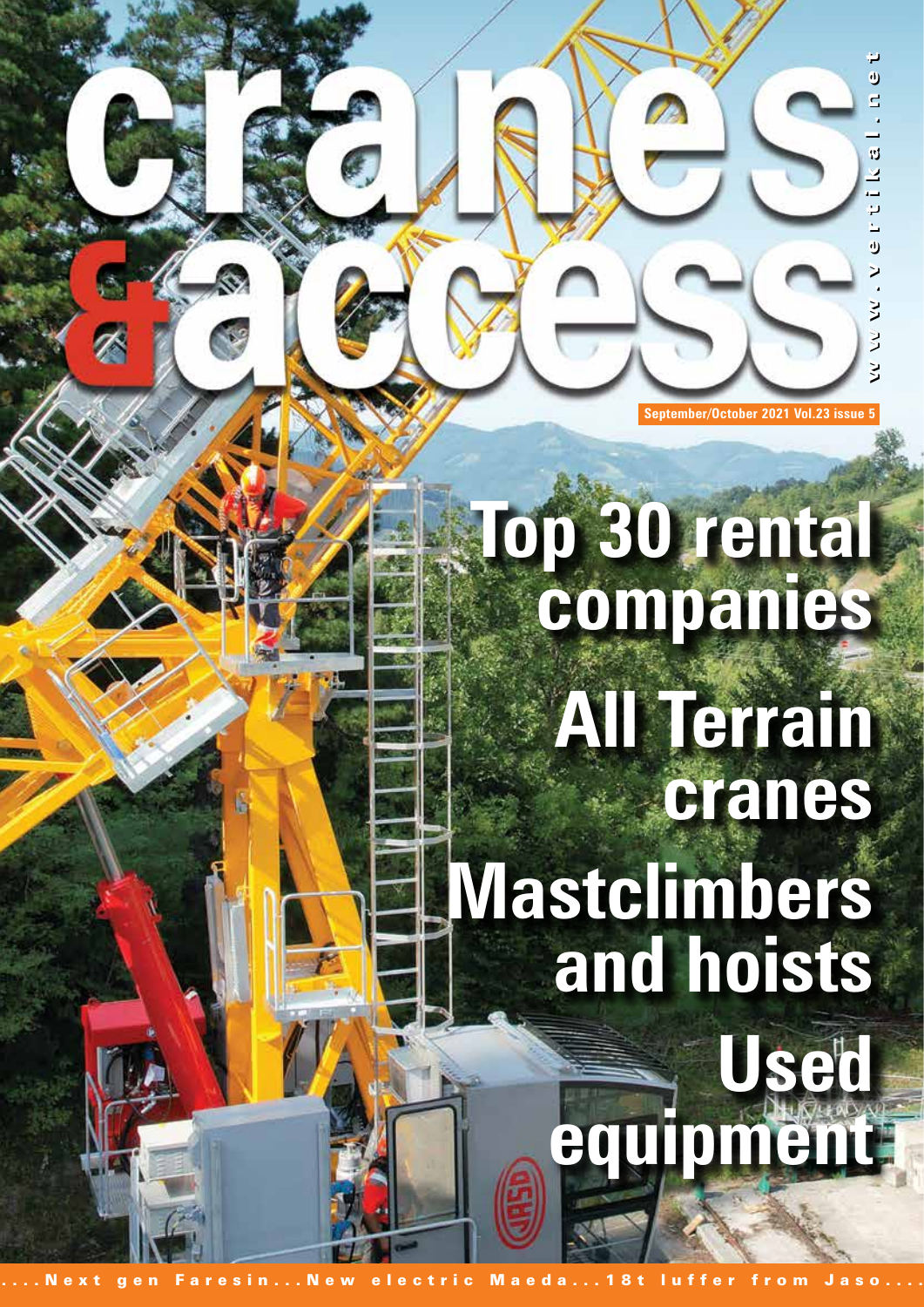**Sentember/October 20** 

**www.vertikal.net www.vertikal.net**

 $\ddot{0}$ 

Š

 $\overline{0}$ 

## **Top 30 rental companies All Terrain cranes Mastclimbers and hoists Used**

**equipment**

....Next gen Faresin...New electric Maeda...18t luffer from Jaso....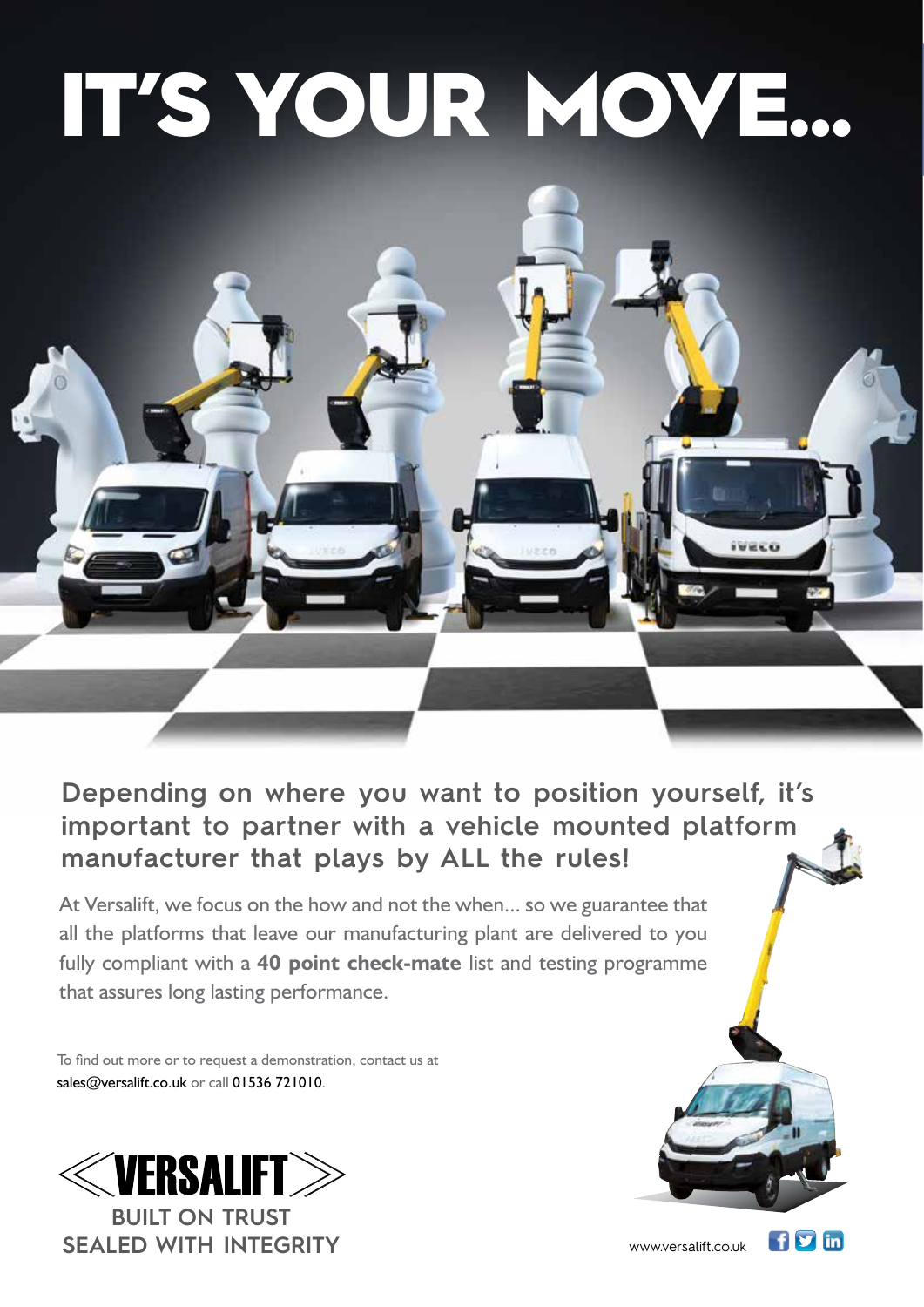# It's your move…

**Depending on where you want to position yourself, it's important to partner with a vehicle mounted platform manufacturer that plays by ALL the rules!**

At Versalift, we focus on the how and not the when... so we guarantee that all the platforms that leave our manufacturing plant are delivered to you fully compliant with a **40 point check-mate** list and testing programme that assures long lasting performance.

To find out more or to request a demonstration, contact us at sales@versalift.co.uk or call 01536 721010.



www.versalift.co.uk

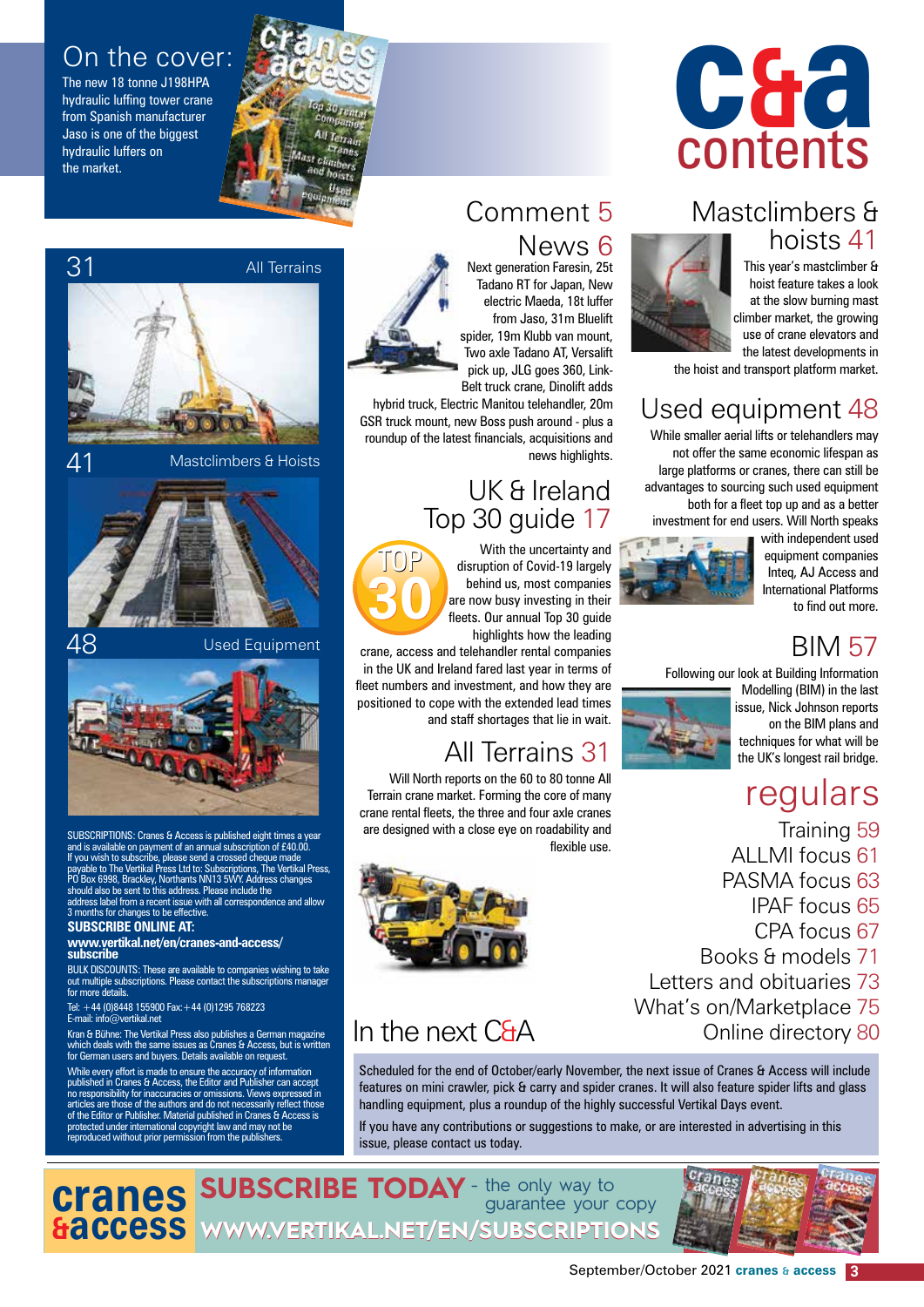

#### Mastclimbers & hoists 41

This year's mastclimber & hoist feature takes a look at the slow burning mast climber market, the growing use of crane elevators and the latest developments in



While smaller aerial lifts or telehandlers may not offer the same economic lifespan as both for a fleet top up and as a better investment for end users. Will North speaks

> with independent used equipment companies Inteq, AJ Access and International Platforms to find out more.



Modelling (BIM) in the last issue, Nick Johnson reports on the BIM plans and techniques for what will be



- Training 59 ALLMI focus 61 PASMA focus 63 IPAF focus 65 CPA focus 67
- Books & models 71
- Letters and obituaries 73
- What's on/Marketplace 75
	- Online directory 80



### Used equipment 48

large platforms or cranes, there can still be advantages to sourcing such used equipment



Following our look at Building Information

the UK's longest rail bridge.



### In the next C&A

Scheduled for the end of October/early November, the next issue of Cranes & Access will include features on mini crawler, pick & carry and spider cranes. It will also feature spider lifts and glass handling equipment, plus a roundup of the highly successful Vertikal Days event.

If you have any contributions or suggestions to make, or are interested in advertising in this issue, please contact us today.

**Cranes SUBSCRIBE TODAY** - the only way to guarantee your copy **Gaccess** WWW.VERTIKAL.NET/EN/SUBSCRIPTIONS **www.vertikal.net/en/subscriptions**



### News 6

Next generation Faresin, 25t Tadano RT for Japan, New electric Maeda, 18t luffer from Jaso, 31m Bluelift spider, 19m Klubb van mount, Two axle Tadano AT, Versalift pick up, JLG goes 360, Link-Belt truck crane, Dinolift adds



TOP

**30**

hybrid truck, Electric Manitou telehandler, 20m GSR truck mount, new Boss push around - plus a roundup of the latest financials, acquisitions and news highlights.

### UK & Ireland Top 30 guide 17

With the uncertainty and disruption of Covid-19 largely behind us, most companies are now busy investing in their fleets. Our annual Top 30 guide highlights how the leading

crane, access and telehandler rental companies in the UK and Ireland fared last year in terms of fleet numbers and investment, and how they are positioned to cope with the extended lead times and staff shortages that lie in wait.

### All Terrains 31

Will North reports on the 60 to 80 tonne All Terrain crane market. Forming the core of many crane rental fleets, the three and four axle cranes are designed with a close eye on roadability and flexible use.



The new 18 tonne J198HPA hydraulic luffing tower crane from Spanish manufacturer Jaso is one of the biggest hydraulic luffers on the market.









 $48$  Used Equipment



SUBSCRIPTIONS: Cranes & Access is published eight times a year. and is available on payment of an annual subscription of £40.00. If you wish to subscribe, please send a crossed cheque made payable to The Vertikal Press Ltd to: Subscriptions, The Vertikal Press, PO Box 6998, Brackley, Northants NN13 5WY. Address changes should also be sent to this address. Please include the address label from a recent issue with all correspondence and allow

#### 3 months for changes to be effective. **Subscribe online at:**

### **www.vertikal.net/en/cranes-and-access/ subscribe**

BULK DISCOUNTS: These are available to companies wishing to take out multiple subscriptions. Please contact the subscriptions manager for more details.

Tel: +44 (0)8448 155900 Fax:+44 (0)1295 768223 E-mail: info@vertikal.net

Kran & Bühne: The Vertikal Press also publishes a German magazine which deals with the same issues as Cranes & Access, but is written for German users and buyers. Details available on request.

While every effort is made to ensure the accuracy of information published in Cranes & Access, the Editor and Publisher can accept no responsibility for inaccuracies or omissions. Views expressed in articles are those of the authors and do not necessarily reflect those of the Editor or Publisher. Material published in Cranes & Access is protected under international copyright law and may not be reed without prior permission from the publishers.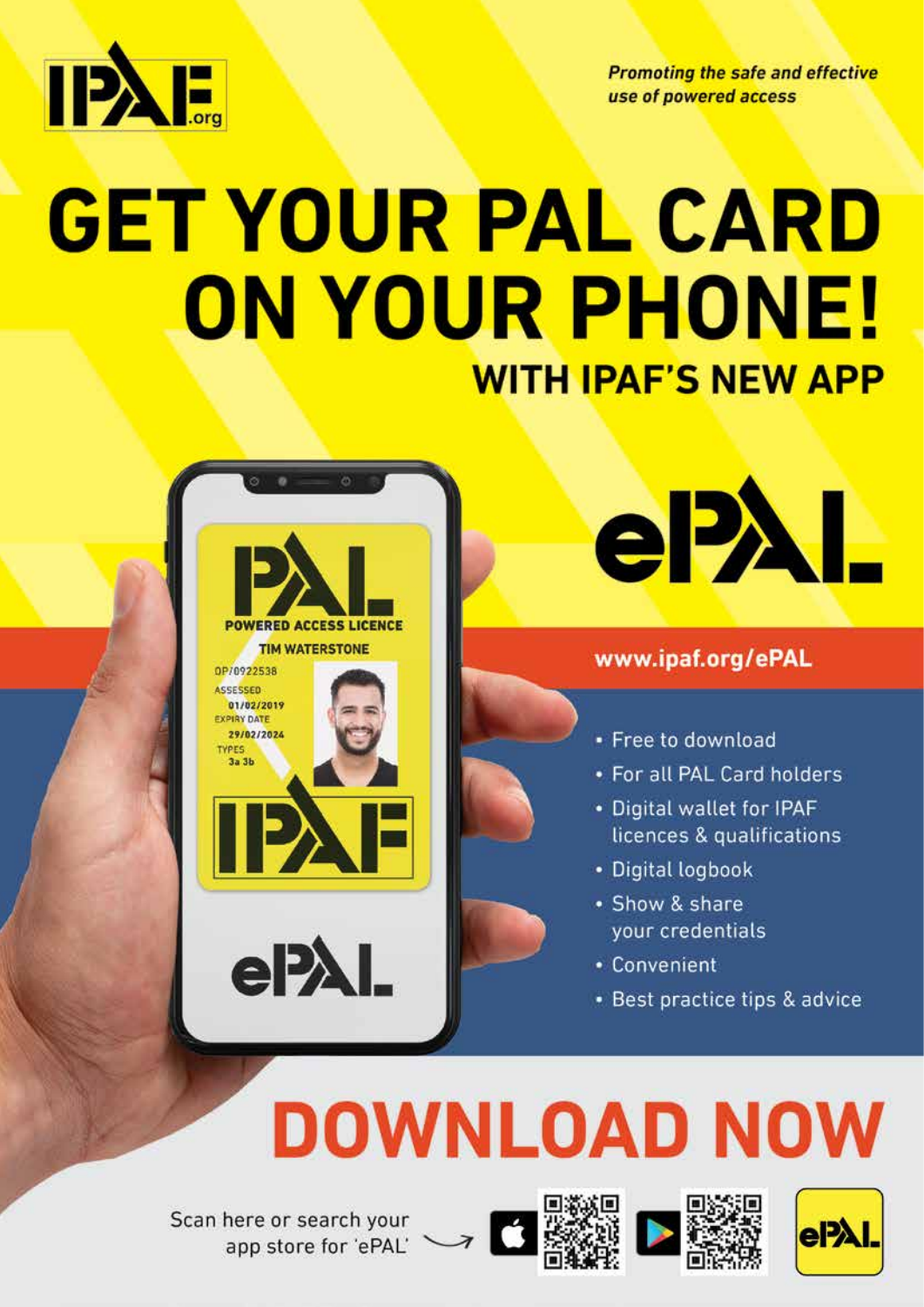

**Promoting the safe and effective** use of powered access

## **GET YOUR PAL CARD** ON YOUR PHONE! **WITH IPAF'S NEW APP**





#### www.ipaf.org/ePAL

- · Free to download
- For all PAL Card holders
- Digital wallet for IPAF licences & qualifications
- · Digital logbook
- Show & share your credentials
- Convenient
- · Best practice tips & advice

## **DOWNLOAD NOW**

Scan here or search your<br>app store for 'ePAL' >> **DESSEE DESSEE**